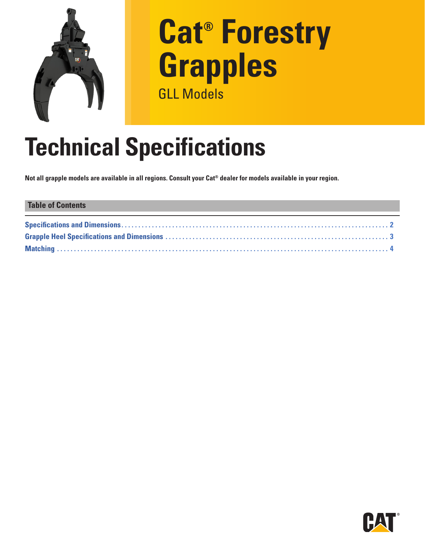

# **Cat® Forestry Grapples** GLL Models

# **Technical Specifications**

**Not all grapple models are available in all regions. Consult your Cat® dealer for models available in your region.** 

## **Table of Contents [Specifications and Dimensions](#page-1-0) . . 2 [Grapple Heel Specifications and Dimensions](#page-2-0) . . 3 [Matching . .](#page-3-0) 4**

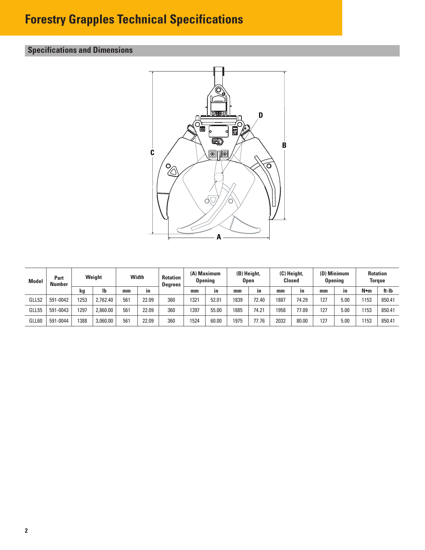# <span id="page-1-0"></span>**Forestry Grapples Technical Specifications**

## **Specifications and Dimensions**



| <b>Model</b> | Part<br><b>Number</b> | Weight |          | Width |       | <b>Rotation</b><br><b>Degrees</b> | (A) Maximum<br><b>Opening</b> |       | (B) Height,<br>Open |              | (C) Height,<br><b>Closed</b> |       | (D) Minimum<br><b>Opening</b> |      | <b>Rotation</b><br>Torque |        |
|--------------|-----------------------|--------|----------|-------|-------|-----------------------------------|-------------------------------|-------|---------------------|--------------|------------------------------|-------|-------------------------------|------|---------------------------|--------|
|              |                       | kg     | lb       | mm    | in    |                                   | mm                            | in.   | mm                  | $\mathbf{m}$ | mm                           | in    | mm                            | in.  | N∙m                       | ft-lb  |
| GLL52        | 591-0042              | 1253   | 2,762.40 | 561   | 22.09 | 360                               | 1321                          | 52.01 | 1839                | 72.40        | 887                          | 74.29 | 127                           | 5.00 | 153                       | 850.41 |
| GLL55        | 591-0043              | 1297   | 2.860.00 | 561   | 22.09 | 360                               | 1397                          | 55.00 | 1885                | 74.21        | 1958                         | 77.09 | 127                           | 5.00 | 1153                      | 850.41 |
| GLL60        | 591-0044              | 1388   | 3,060.00 | 561   | 22.09 | 360                               | 1524                          | 60.00 | 1975                | 77.76        | 2032                         | 80.00 | 127                           | 5.00 | 153                       | 850.41 |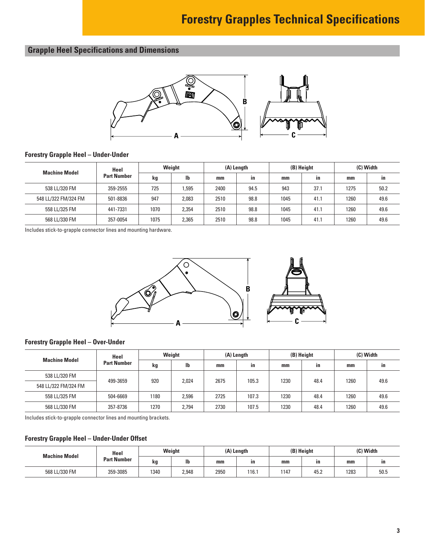# **Forestry Grapples Technical Specifications**

## <span id="page-2-0"></span>**Grapple Heel Specifications and Dimensions**



#### **Forestry Grapple Heel – Under-Under**

| <b>Machine Model</b> | Heel               | Weight |       | (A) Length |      | (B) Height |      | (C) Width |      |
|----------------------|--------------------|--------|-------|------------|------|------------|------|-----------|------|
|                      | <b>Part Number</b> | kg     | lb    | mm         | in   | mm         | ın   | mm        | ın   |
| 538 LL/320 FM        | 359-2555           | 725    | 1.595 | 2400       | 94.5 | 943        | 37.1 | 1275      | 50.2 |
| 548 LL/322 FM/324 FM | 501-8836           | 947    | 2,083 | 2510       | 98.8 | 1045       | 41.1 | 1260      | 49.6 |
| 558 LL/325 FM        | 441-7331           | 1070   | 2,354 | 2510       | 98.8 | 1045       | 41.1 | 1260      | 49.6 |
| 568 LL/330 FM        | 357-0054           | 1075   | 2,365 | 2510       | 98.8 | 1045       | 41.1 | 1260      | 49.6 |

Includes stick-to-grapple connector lines and mounting hardware.





### **Forestry Grapple Heel – Over-Under**

| <b>Machine Model</b> | Heel               | Weight |       | (A) Length |       | (B) Height |      | (C) Width |      |
|----------------------|--------------------|--------|-------|------------|-------|------------|------|-----------|------|
|                      | <b>Part Number</b> | kg     | lb    | $mm$       | in    | mm         | ın   | mm        | in   |
| 538 LL/320 FM        | 499-3659           | 920    | 2,024 | 2675       | 105.3 | 1230       | 48.4 | 1260      | 49.6 |
| 548 LL/322 FM/324 FM |                    |        |       |            |       |            |      |           |      |
| 558 LL/325 FM        | 504-6669           | 1180   | 2,596 | 2725       | 107.3 | 1230       | 48.4 | 1260      | 49.6 |
| 568 LL/330 FM        | 357-8736           | 1270   | 2.794 | 2730       | 107.5 | 1230       | 48.4 | 1260      | 49.6 |

Includes stick-to-grapple connector lines and mounting brackets.

#### **Forestry Grapple Heel – Under-Under Offset**

| <b>Machine Model</b> | Heel               | Weight |       | (A) Length |       |      | (B) Height | (C) Width |      |
|----------------------|--------------------|--------|-------|------------|-------|------|------------|-----------|------|
|                      | <b>Part Number</b> | kg     | lb    | mm         | ın    | mm   | ın         | mm        | ın   |
| 568 LL/330 FM        | 359-3085           | 1340   | 2,948 | 2950       | 116.1 | 1147 | 45.2       | 1283      | 50.5 |